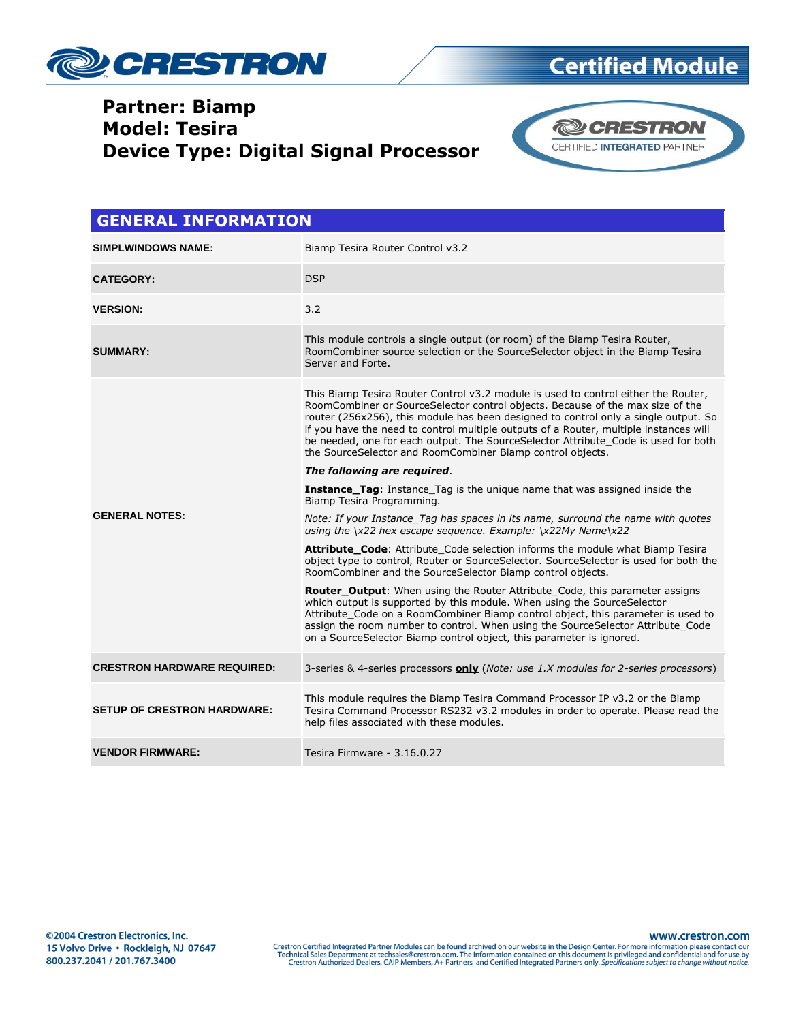

# **Certified Module**

### **Partner: Biamp Model: Tesira Device Type: Digital Signal Processor**



| <b>GENERAL INFORMATION</b>         |                                                                                                                                                                                                                                                                                                                                                                                                                                                                                                          |  |  |
|------------------------------------|----------------------------------------------------------------------------------------------------------------------------------------------------------------------------------------------------------------------------------------------------------------------------------------------------------------------------------------------------------------------------------------------------------------------------------------------------------------------------------------------------------|--|--|
| <b>SIMPLWINDOWS NAME:</b>          | Biamp Tesira Router Control v3.2                                                                                                                                                                                                                                                                                                                                                                                                                                                                         |  |  |
| <b>CATEGORY:</b>                   | <b>DSP</b>                                                                                                                                                                                                                                                                                                                                                                                                                                                                                               |  |  |
| <b>VERSION:</b>                    | 3.2                                                                                                                                                                                                                                                                                                                                                                                                                                                                                                      |  |  |
| <b>SUMMARY:</b>                    | This module controls a single output (or room) of the Biamp Tesira Router,<br>RoomCombiner source selection or the SourceSelector object in the Biamp Tesira<br>Server and Forte.                                                                                                                                                                                                                                                                                                                        |  |  |
|                                    | This Biamp Tesira Router Control v3.2 module is used to control either the Router,<br>RoomCombiner or SourceSelector control objects. Because of the max size of the<br>router (256x256), this module has been designed to control only a single output. So<br>if you have the need to control multiple outputs of a Router, multiple instances will<br>be needed, one for each output. The SourceSelector Attribute Code is used for both<br>the SourceSelector and RoomCombiner Biamp control objects. |  |  |
|                                    | The following are required.                                                                                                                                                                                                                                                                                                                                                                                                                                                                              |  |  |
| <b>GENERAL NOTES:</b>              | <b>Instance_Tag:</b> Instance Tag is the unique name that was assigned inside the<br>Biamp Tesira Programming.                                                                                                                                                                                                                                                                                                                                                                                           |  |  |
|                                    | Note: If your Instance Tag has spaces in its name, surround the name with quotes<br>using the $\x22$ hex escape sequence. Example: $\x22My$ Name $\x22$                                                                                                                                                                                                                                                                                                                                                  |  |  |
|                                    | Attribute_Code: Attribute_Code selection informs the module what Biamp Tesira<br>object type to control, Router or SourceSelector. SourceSelector is used for both the<br>RoomCombiner and the SourceSelector Biamp control objects.                                                                                                                                                                                                                                                                     |  |  |
|                                    | <b>Router_Output:</b> When using the Router Attribute Code, this parameter assigns<br>which output is supported by this module. When using the SourceSelector<br>Attribute Code on a RoomCombiner Biamp control object, this parameter is used to<br>assign the room number to control. When using the SourceSelector Attribute_Code<br>on a SourceSelector Biamp control object, this parameter is ignored.                                                                                             |  |  |
| <b>CRESTRON HARDWARE REQUIRED:</b> | 3-series & 4-series processors only (Note: use 1.X modules for 2-series processors)                                                                                                                                                                                                                                                                                                                                                                                                                      |  |  |
| <b>SETUP OF CRESTRON HARDWARE:</b> | This module requires the Biamp Tesira Command Processor IP v3.2 or the Biamp<br>Tesira Command Processor RS232 v3.2 modules in order to operate. Please read the<br>help files associated with these modules.                                                                                                                                                                                                                                                                                            |  |  |
| <b>VENDOR FIRMWARE:</b>            | Tesira Firmware - 3.16.0.27                                                                                                                                                                                                                                                                                                                                                                                                                                                                              |  |  |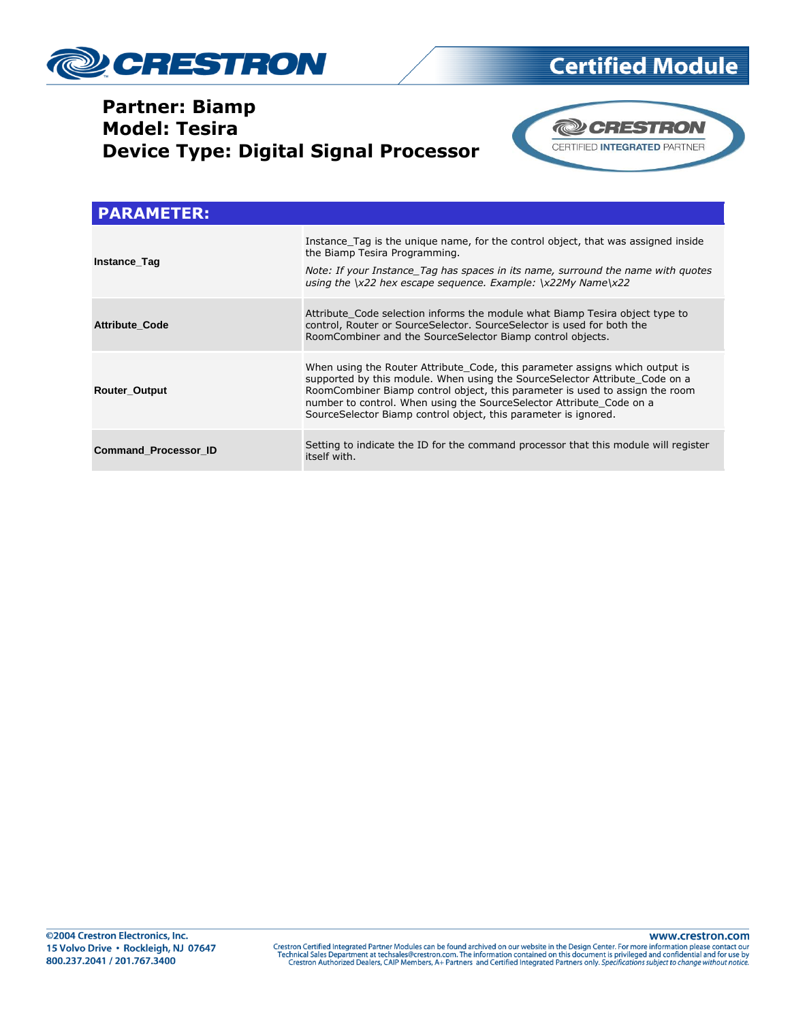

# **Certified Module**

### **Partner: Biamp Model: Tesira Device Type: Digital Signal Processor**



| <b>PARAMETER:</b>           |                                                                                                                                                                                                                                                                                                                                                                                         |
|-----------------------------|-----------------------------------------------------------------------------------------------------------------------------------------------------------------------------------------------------------------------------------------------------------------------------------------------------------------------------------------------------------------------------------------|
| Instance_Tag                | Instance_Tag is the unique name, for the control object, that was assigned inside<br>the Biamp Tesira Programming.<br>Note: If your Instance_Tag has spaces in its name, surround the name with quotes<br>using the $\x22$ hex escape sequence. Example: $\x22My$ Name $\x22$                                                                                                           |
| <b>Attribute Code</b>       | Attribute Code selection informs the module what Biamp Tesira object type to<br>control, Router or SourceSelector. SourceSelector is used for both the<br>RoomCombiner and the SourceSelector Biamp control objects.                                                                                                                                                                    |
| <b>Router Output</b>        | When using the Router Attribute Code, this parameter assigns which output is<br>supported by this module. When using the Source Selector Attribute Code on a<br>RoomCombiner Biamp control object, this parameter is used to assign the room<br>number to control. When using the SourceSelector Attribute Code on a<br>SourceSelector Biamp control object, this parameter is ignored. |
| <b>Command Processor ID</b> | Setting to indicate the ID for the command processor that this module will register<br>itself with.                                                                                                                                                                                                                                                                                     |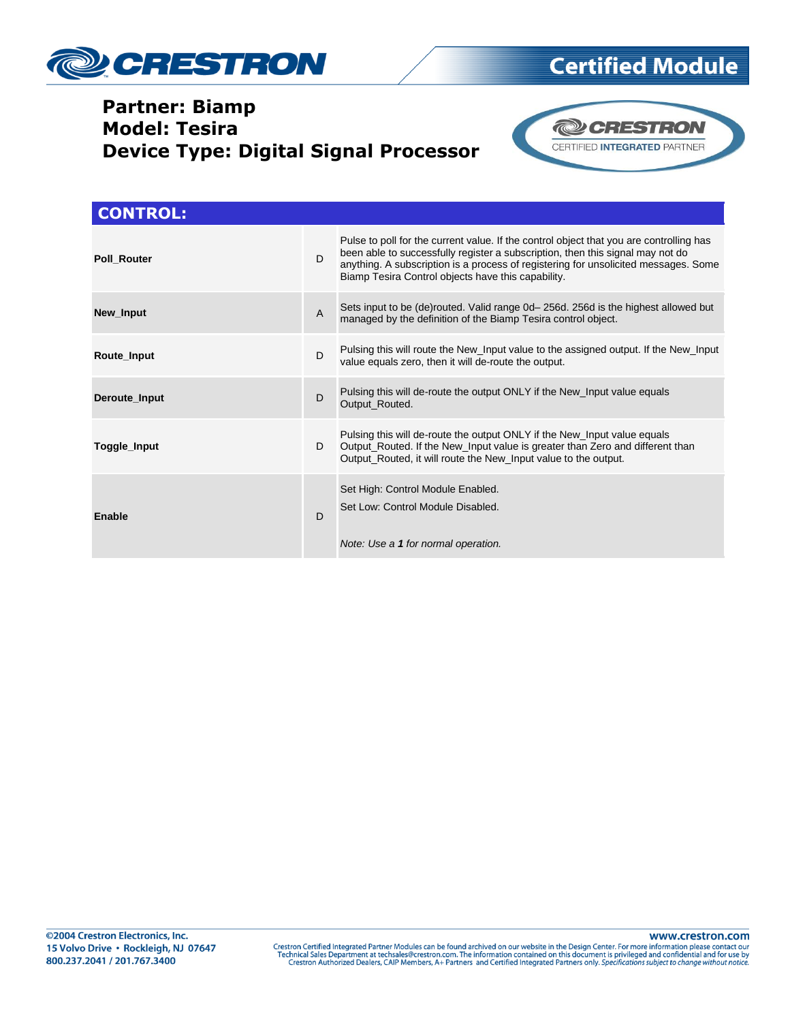

### **Partner: Biamp Model: Tesira Device Type: Digital Signal Processor**



**Certified Module** 

| <b>CONTROL:</b>     |                |                                                                                                                                                                                                                                                                                                                        |
|---------------------|----------------|------------------------------------------------------------------------------------------------------------------------------------------------------------------------------------------------------------------------------------------------------------------------------------------------------------------------|
| Poll Router         | D.             | Pulse to poll for the current value. If the control object that you are controlling has<br>been able to successfully register a subscription, then this signal may not do<br>anything. A subscription is a process of registering for unsolicited messages. Some<br>Biamp Tesira Control objects have this capability. |
| New Input           | $\overline{A}$ | Sets input to be (de)routed. Valid range 0d-256d. 256d is the highest allowed but<br>managed by the definition of the Biamp Tesira control object.                                                                                                                                                                     |
| Route_Input         | D              | Pulsing this will route the New_Input value to the assigned output. If the New_Input<br>value equals zero, then it will de-route the output.                                                                                                                                                                           |
| Deroute Input       | D              | Pulsing this will de-route the output ONLY if the New_Input value equals<br>Output_Routed.                                                                                                                                                                                                                             |
| <b>Toggle Input</b> | D              | Pulsing this will de-route the output ONLY if the New Input value equals<br>Output_Routed. If the New_Input value is greater than Zero and different than<br>Output_Routed, it will route the New_Input value to the output.                                                                                           |
| Enable              | D              | Set High: Control Module Enabled.<br>Set Low: Control Module Disabled.<br>Note: Use a 1 for normal operation.                                                                                                                                                                                                          |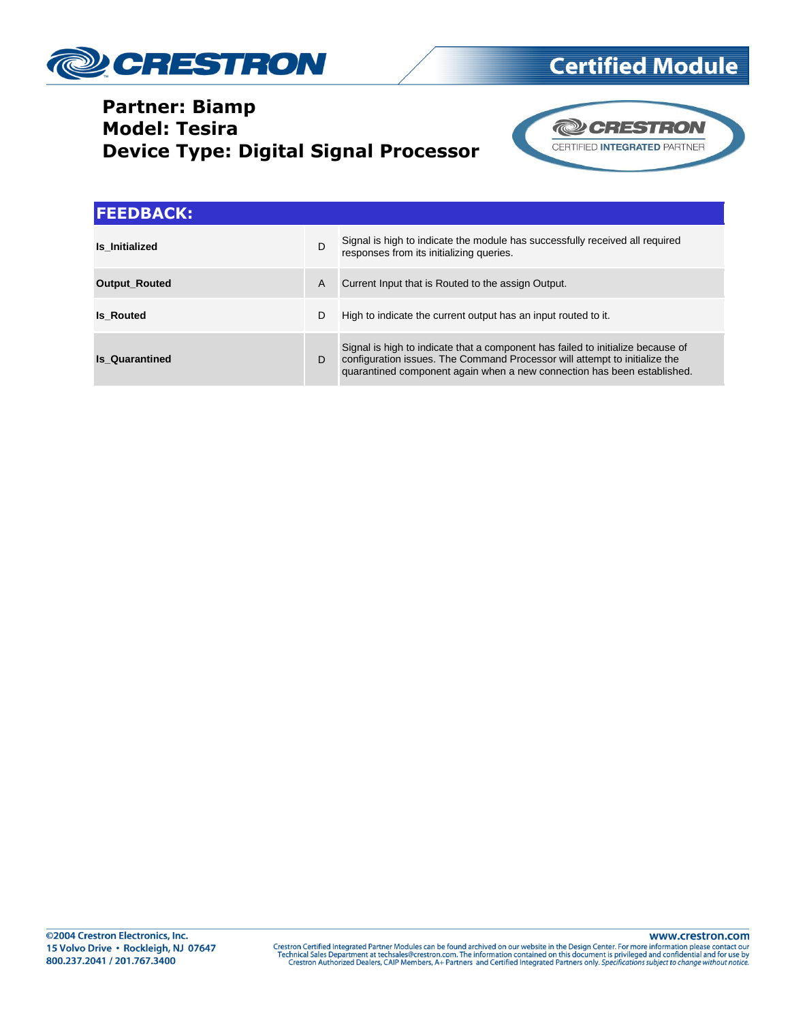

## **Partner: Biamp Model: Tesira Device Type: Digital Signal Processor**



CERTIFIED INTEGRATED PARTNER

**Certified Module** 

### **FEEDBACK:**

| <b>Is Initialized</b> | D | Signal is high to indicate the module has successfully received all required<br>responses from its initializing queries.                                                                                                                 |
|-----------------------|---|------------------------------------------------------------------------------------------------------------------------------------------------------------------------------------------------------------------------------------------|
| <b>Output_Routed</b>  | A | Current Input that is Routed to the assign Output.                                                                                                                                                                                       |
| <b>Is Routed</b>      | D | High to indicate the current output has an input routed to it.                                                                                                                                                                           |
| <b>Is Quarantined</b> | D | Signal is high to indicate that a component has failed to initialize because of<br>configuration issues. The Command Processor will attempt to initialize the<br>quarantined component again when a new connection has been established. |

Crestron Certified Integrated Partner Modules can be found archived on our website in the Design Center. For more information please contact our Technical Sales Department at techsales@crestron.com. The information contain

www.crestron.com